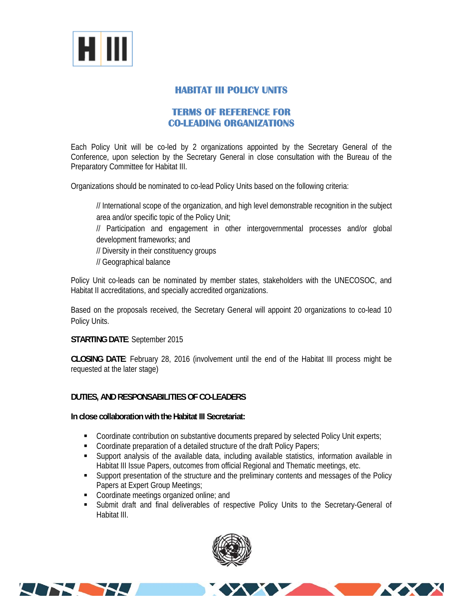

# **HABITAT III POLICY UNITS**

## **TERMS OF REFERENCE FOR CO-LEADING ORGANIZATIONS**

Each Policy Unit will be co-led by 2 organizations appointed by the Secretary General of the Conference, upon selection by the Secretary General in close consultation with the Bureau of the Preparatory Committee for Habitat III.

Organizations should be nominated to co-lead Policy Units based on the following criteria:

// International scope of the organization, and high level demonstrable recognition in the subject area and/or specific topic of the Policy Unit;

// Participation and engagement in other intergovernmental processes and/or global development frameworks; and

// Diversity in their constituency groups

// Geographical balance

Policy Unit co-leads can be nominated by member states, stakeholders with the UNECOSOC, and Habitat II accreditations, and specially accredited organizations.

Based on the proposals received, the Secretary General will appoint 20 organizations to co-lead 10 Policy Units.

**STARTING DATE**: September 2015

**CLOSING DATE**: February 28, 2016 (involvement until the end of the Habitat III process might be requested at the later stage)

### **DUTIES, AND RESPONSABILITIES OF CO-LEADERS**

**In close collaboration with the Habitat III Secretariat:** 

- Coordinate contribution on substantive documents prepared by selected Policy Unit experts;
- Coordinate preparation of a detailed structure of the draft Policy Papers;
- Support analysis of the available data, including available statistics, information available in Habitat III Issue Papers, outcomes from official Regional and Thematic meetings, etc.
- Support presentation of the structure and the preliminary contents and messages of the Policy Papers at Expert Group Meetings;
- Coordinate meetings organized online; and

**ALTHONY** 

 Submit draft and final deliverables of respective Policy Units to the Secretary-General of Habitat III.



**XXXX**